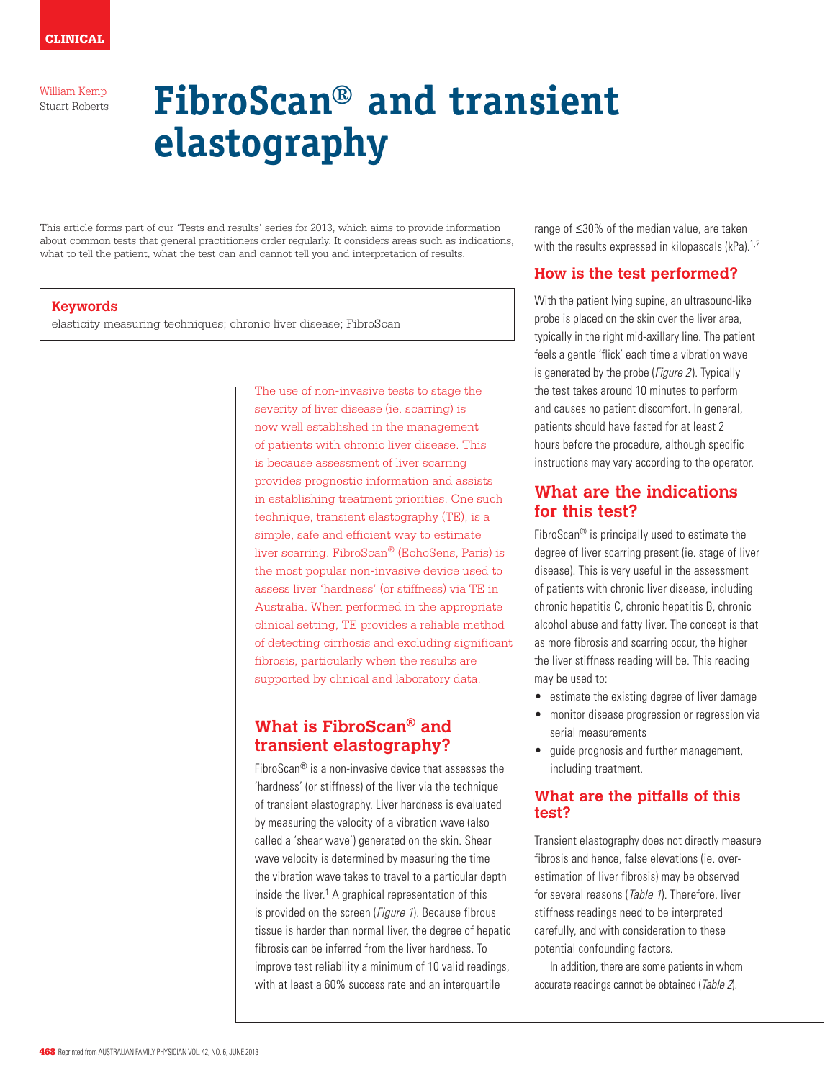# **FibroScan® and transient elastography**

This article forms part of our 'Tests and results' series for 2013, which aims to provide information about common tests that general practitioners order regularly. It considers areas such as indications, what to tell the patient, what the test can and cannot tell you and interpretation of results.

#### **Keywords**

elasticity measuring techniques; chronic liver disease; FibroScan

The use of non-invasive tests to stage the severity of liver disease (ie. scarring) is now well established in the management of patients with chronic liver disease. This is because assessment of liver scarring provides prognostic information and assists in establishing treatment priorities. One such technique, transient elastography (TE), is a simple, safe and efficient way to estimate liver scarring. FibroScan® (EchoSens, Paris) is the most popular non-invasive device used to assess liver 'hardness' (or stiffness) via TE in Australia. When performed in the appropriate clinical setting, TE provides a reliable method of detecting cirrhosis and excluding significant fibrosis, particularly when the results are supported by clinical and laboratory data.

# **What is FibroScan® and transient elastography?**

FibroScan® is a non-invasive device that assesses the 'hardness' (or stiffness) of the liver via the technique of transient elastography. Liver hardness is evaluated by measuring the velocity of a vibration wave (also called a 'shear wave') generated on the skin. Shear wave velocity is determined by measuring the time the vibration wave takes to travel to a particular depth inside the liver.<sup>1</sup> A graphical representation of this is provided on the screen (*Figure 1*). Because fibrous tissue is harder than normal liver, the degree of hepatic fibrosis can be inferred from the liver hardness. To improve test reliability a minimum of 10 valid readings, with at least a 60% success rate and an interquartile

range of ≤30% of the median value, are taken with the results expressed in kilopascals  $(kPa)$ .<sup>1,2</sup>

## **How is the test performed?**

With the patient lying supine, an ultrasound-like probe is placed on the skin over the liver area, typically in the right mid-axillary line. The patient feels a gentle 'flick' each time a vibration wave is generated by the probe (Figure 2). Typically the test takes around 10 minutes to perform and causes no patient discomfort. In general, patients should have fasted for at least 2 hours before the procedure, although specific instructions may vary according to the operator.

## **What are the indications for this test?**

FibroScan® is principally used to estimate the degree of liver scarring present (ie. stage of liver disease). This is very useful in the assessment of patients with chronic liver disease, including chronic hepatitis C, chronic hepatitis B, chronic alcohol abuse and fatty liver. The concept is that as more fibrosis and scarring occur, the higher the liver stiffness reading will be. This reading may be used to:

- estimate the existing degree of liver damage
- • monitor disease progression or regression via serial measurements
- guide prognosis and further management, including treatment.

## **What are the pitfalls of this test?**

Transient elastography does not directly measure fibrosis and hence, false elevations (ie. overestimation of liver fibrosis) may be observed for several reasons (Table 1). Therefore, liver stiffness readings need to be interpreted carefully, and with consideration to these potential confounding factors.

In addition, there are some patients in whom accurate readings cannot be obtained (Table 2).

William Kemp Stuart Roberts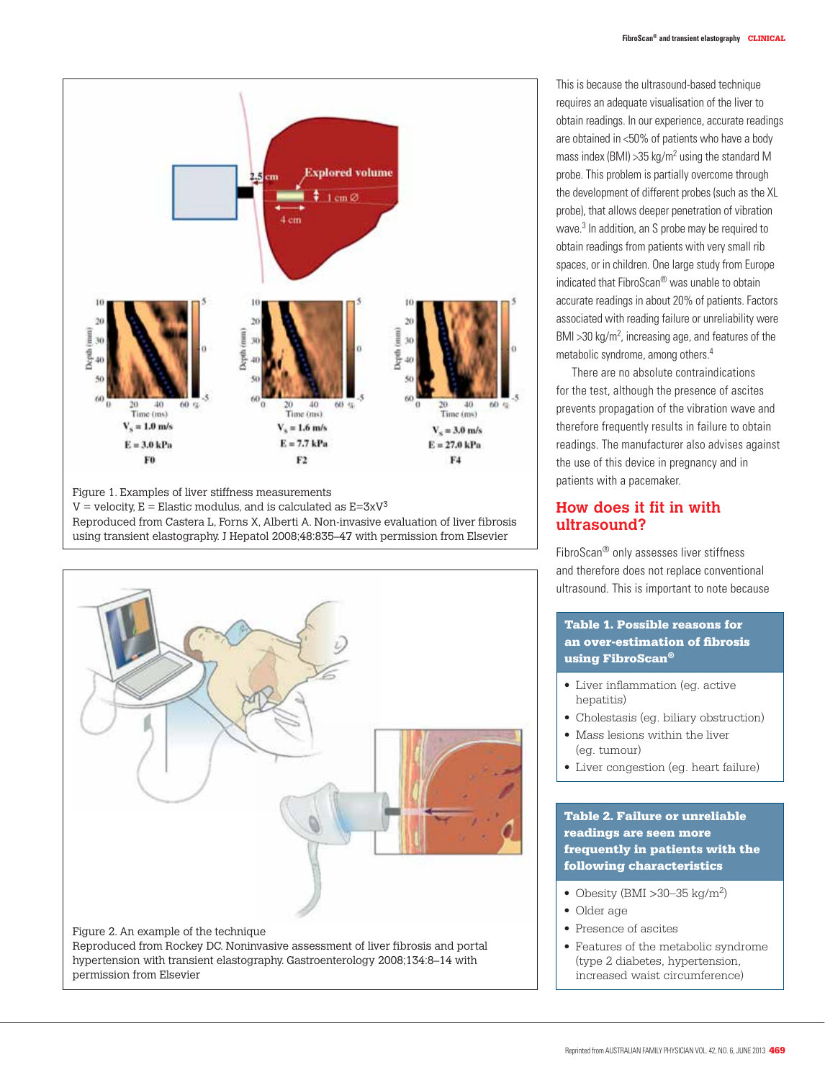

Figure 1. Examples of liver stiffness measurements  $V =$  velocity,  $E =$  Elastic modulus, and is calculated as  $E = 3xV^3$ Reproduced from Castera L, Forns X, Alberti A. Non-invasive evaluation of liver fibrosis using transient elastography. J Hepatol 2008;48:835–47 with permission from Elsevier



This is because the ultrasound-based technique requires an adequate visualisation of the liver to obtain readings. In our experience, accurate readings are obtained in <50% of patients who have a body mass index (BMI)  $>35$  kg/m<sup>2</sup> using the standard M probe. This problem is partially overcome through the development of different probes (such as the XL probe), that allows deeper penetration of vibration wave.3 In addition, an S probe may be required to obtain readings from patients with very small rib spaces, or in children. One large study from Europe indicated that FibroScan® was unable to obtain accurate readings in about 20% of patients. Factors associated with reading failure or unreliability were BMI > 30 kg/m<sup>2</sup>, increasing age, and features of the metabolic syndrome, among others.4

There are no absolute contraindications for the test, although the presence of ascites prevents propagation of the vibration wave and therefore frequently results in failure to obtain readings. The manufacturer also advises against the use of this device in pregnancy and in patients with a pacemaker.

### **How does it fit in with ultrasound?**

FibroScan® only assesses liver stiffness and therefore does not replace conventional ultrasound. This is important to note because

#### Table 1. Possible reasons for an over-estimation of fibrosis using FibroScan®

- • Liver inflammation (eg. active hepatitis)
- Cholestasis (eg. biliary obstruction)
- Mass lesions within the liver (eg. tumour)
- Liver congestion (eg. heart failure)

#### Table 2. Failure or unreliable readings are seen more frequently in patients with the following characteristics

- Obesity (BMI  $>$ 30–35 kg/m<sup>2</sup>)
- Older age
- Presence of ascites
- Features of the metabolic syndrome (type 2 diabetes, hypertension, increased waist circumference)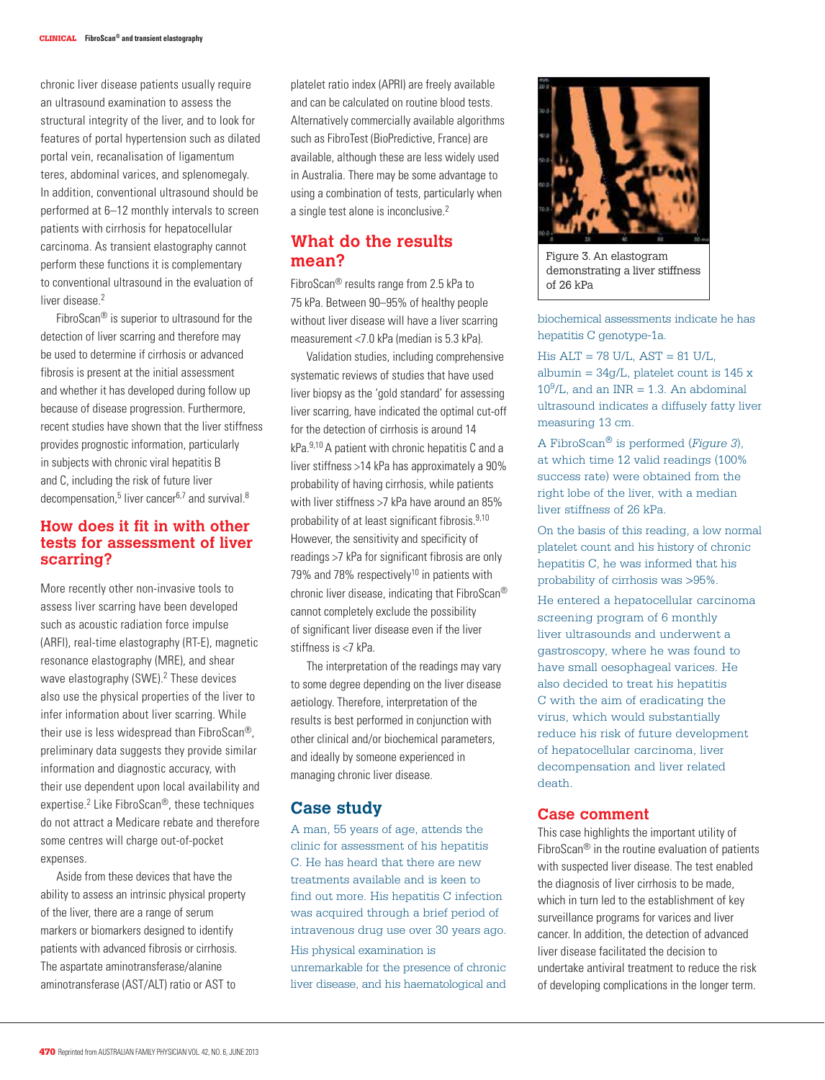chronic liver disease patients usually require an ultrasound examination to assess the structural integrity of the liver, and to look for features of portal hypertension such as dilated portal vein, recanalisation of ligamentum teres, abdominal varices, and splenomegaly. In addition, conventional ultrasound should be performed at 6–12 monthly intervals to screen patients with cirrhosis for hepatocellular carcinoma. As transient elastography cannot perform these functions it is complementary to conventional ultrasound in the evaluation of liver disease<sup>2</sup>

FibroScan® is superior to ultrasound for the detection of liver scarring and therefore may be used to determine if cirrhosis or advanced fibrosis is present at the initial assessment and whether it has developed during follow up because of disease progression. Furthermore, recent studies have shown that the liver stiffness provides prognostic information, particularly in subjects with chronic viral hepatitis B and C, including the risk of future liver decompensation,<sup>5</sup> liver cancer<sup>6,7</sup> and survival.<sup>8</sup>

## **How does it fit in with other tests for assessment of liver scarring?**

More recently other non-invasive tools to assess liver scarring have been developed such as acoustic radiation force impulse (ARFI), real-time elastography (RT-E), magnetic resonance elastography (MRE), and shear wave elastography (SWE).<sup>2</sup> These devices also use the physical properties of the liver to infer information about liver scarring. While their use is less widespread than FibroScan®, preliminary data suggests they provide similar information and diagnostic accuracy, with their use dependent upon local availability and expertise.2 Like FibroScan®, these techniques do not attract a Medicare rebate and therefore some centres will charge out-of-pocket expenses.

Aside from these devices that have the ability to assess an intrinsic physical property of the liver, there are a range of serum markers or biomarkers designed to identify patients with advanced fibrosis or cirrhosis. The aspartate aminotransferase/alanine aminotransferase (AST/ALT) ratio or AST to

platelet ratio index (APRI) are freely available and can be calculated on routine blood tests. Alternatively commercially available algorithms such as FibroTest (BioPredictive, France) are available, although these are less widely used in Australia. There may be some advantage to using a combination of tests, particularly when a single test alone is inconclusive.2

## **What do the results mean?**

FibroScan® results range from 2.5 kPa to 75 kPa. Between 90–95% of healthy people without liver disease will have a liver scarring measurement <7.0 kPa (median is 5.3 kPa).

Validation studies, including comprehensive systematic reviews of studies that have used liver biopsy as the 'gold standard' for assessing liver scarring, have indicated the optimal cut-off for the detection of cirrhosis is around 14 kPa.9,10 A patient with chronic hepatitis C and a liver stiffness >14 kPa has approximately a 90% probability of having cirrhosis, while patients with liver stiffness >7 kPa have around an 85% probability of at least significant fibrosis.9,10 However, the sensitivity and specificity of readings >7 kPa for significant fibrosis are only 79% and 78% respectively<sup>10</sup> in patients with chronic liver disease, indicating that FibroScan® cannot completely exclude the possibility of significant liver disease even if the liver stiffness is <7 kPa.

The interpretation of the readings may vary to some degree depending on the liver disease aetiology. Therefore, interpretation of the results is best performed in conjunction with other clinical and/or biochemical parameters, and ideally by someone experienced in managing chronic liver disease.

#### **Case study**

A man, 55 years of age, attends the clinic for assessment of his hepatitis C. He has heard that there are new treatments available and is keen to find out more. His hepatitis C infection was acquired through a brief period of intravenous drug use over 30 years ago.

His physical examination is unremarkable for the presence of chronic liver disease, and his haematological and



Figure 3. An elastogram demonstrating a liver stiffness of 26 kPa

biochemical assessments indicate he has hepatitis C genotype-1a.

 $His ALT = 78 U/L, AST = 81 U/L,$ albumin =  $34g/L$ , platelet count is 145 x  $10^9$ /L, and an INR = 1.3. An abdominal ultrasound indicates a diffusely fatty liver measuring 13 cm.

A FibroScan® is performed (*Figure 3*), at which time 12 valid readings (100% success rate) were obtained from the right lobe of the liver, with a median liver stiffness of 26 kPa.

On the basis of this reading, a low normal platelet count and his history of chronic hepatitis C, he was informed that his probability of cirrhosis was >95%.

He entered a hepatocellular carcinoma screening program of 6 monthly liver ultrasounds and underwent a gastroscopy, where he was found to have small oesophageal varices. He also decided to treat his hepatitis C with the aim of eradicating the virus, which would substantially reduce his risk of future development of hepatocellular carcinoma, liver decompensation and liver related death.

#### **Case comment**

This case highlights the important utility of FibroScan® in the routine evaluation of patients with suspected liver disease. The test enabled the diagnosis of liver cirrhosis to be made, which in turn led to the establishment of key surveillance programs for varices and liver cancer. In addition, the detection of advanced liver disease facilitated the decision to undertake antiviral treatment to reduce the risk of developing complications in the longer term.